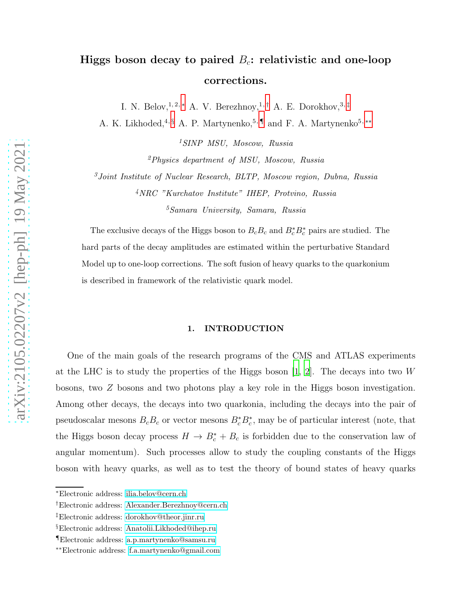# Higgs boson decay to paired  $B_c$ : relativistic and one-loop corrections.

I. N. Belov, 1, 2,  $*$  A. V. Berezhnoy, 1, [†](#page-0-1) A. E. Dorokhov, 3, [‡](#page-0-2)

A. K. Likhoded,<sup>4, [§](#page-0-3)</sup> A. P. Martynenko,<sup>5, [¶](#page-0-4)</sup> and F. A. Martynenko<sup>5,\*\*</sup>

<sup>1</sup>SINP MSU, Moscow, Russia

 $^{2}Physics$  department of MSU, Moscow, Russia

<sup>3</sup>Joint Institute of Nuclear Research, BLTP, Moscow region, Dubna, Russia <sup>4</sup>NRC "Kurchatov Institute" IHEP, Protvino, Russia <sup>5</sup>Samara University, Samara, Russia

The exclusive decays of the Higgs boson to  $B_cB_c$  and  $B_c^*B_c^*$  pairs are studied. The hard parts of the decay amplitudes are estimated within the perturbative Standard Model up to one-loop corrections. The soft fusion of heavy quarks to the quarkonium is described in framework of the relativistic quark model.

## 1. INTRODUCTION

One of the main goals of the research programs of the CMS and ATLAS experiments at the LHC is to study the properties of the Higgs boson  $[1, 2]$  $[1, 2]$ . The decays into two W bosons, two Z bosons and two photons play a key role in the Higgs boson investigation. Among other decays, the decays into two quarkonia, including the decays into the pair of pseudoscalar mesons  $B_c B_c$  or vector mesons  $B_c^* B_c^*$ , may be of particular interest (note, that the Higgs boson decay process  $H \to B_c^* + B_c$  is forbidden due to the conservation law of angular momentum). Such processes allow to study the coupling constants of the Higgs boson with heavy quarks, as well as to test the theory of bound states of heavy quarks

<span id="page-0-1"></span><span id="page-0-0"></span><sup>∗</sup>Electronic address: [ilia.belov@cern.ch](mailto:ilia.belov@cern.ch)

<span id="page-0-2"></span><sup>†</sup>Electronic address: [Alexander.Berezhnoy@cern.ch](mailto:Alexander.Berezhnoy@cern.ch)

<span id="page-0-3"></span><sup>‡</sup>Electronic address: [dorokhov@theor.jinr.ru](mailto:dorokhov@theor.jinr.ru)

<span id="page-0-4"></span><sup>§</sup>Electronic address: [Anatolii.Likhoded@ihep.ru](mailto:Anatolii.Likhoded@ihep.ru)

<span id="page-0-5"></span><sup>¶</sup>Electronic address: [a.p.martynenko@samsu.ru](mailto:a.p.martynenko@samsu.ru)

<sup>∗∗</sup>Electronic address: [f.a.martynenko@gmail.com](mailto:f.a.martynenko@gmail.com)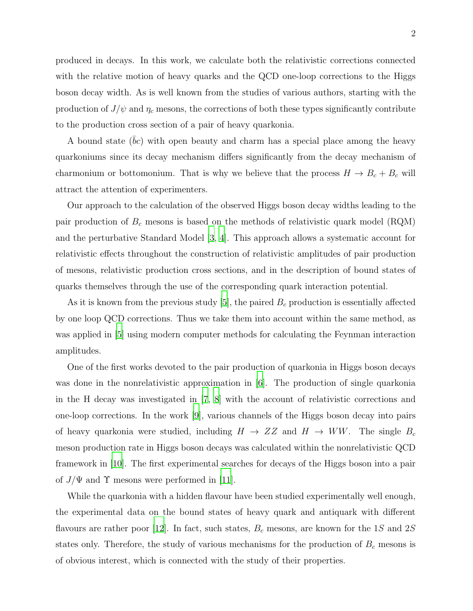produced in decays. In this work, we calculate both the relativistic corrections connected with the relative motion of heavy quarks and the QCD one-loop corrections to the Higgs boson decay width. As is well known from the studies of various authors, starting with the production of  $J/\psi$  and  $\eta_c$  mesons, the corrections of both these types significantly contribute to the production cross section of a pair of heavy quarkonia.

A bound state  $(bc)$  with open beauty and charm has a special place among the heavy quarkoniums since its decay mechanism differs significantly from the decay mechanism of charmonium or bottomonium. That is why we believe that the process  $H \to B_c + B_c$  will attract the attention of experimenters.

Our approach to the calculation of the observed Higgs boson decay widths leading to the pair production of  $B_c$  mesons is based on the methods of relativistic quark model (RQM) and the perturbative Standard Model [\[3](#page-15-2), [4](#page-15-3)]. This approach allows a systematic account for relativistic effects throughout the construction of relativistic amplitudes of pair production of mesons, relativistic production cross sections, and in the description of bound states of quarks themselves through the use of the corresponding quark interaction potential.

As it is known from the previous study  $[5]$ , the paired  $B_c$  production is essentially affected by one loop QCD corrections. Thus we take them into account within the same method, as was applied in [\[5\]](#page-15-4) using modern computer methods for calculating the Feynman interaction amplitudes.

One of the first works devoted to the pair production of quarkonia in Higgs boson decays was done in the nonrelativistic approximation in [\[6](#page-16-0)]. The production of single quarkonia in the H decay was investigated in [\[7](#page-16-1), [8\]](#page-16-2) with the account of relativistic corrections and one-loop corrections. In the work [\[9\]](#page-16-3), various channels of the Higgs boson decay into pairs of heavy quarkonia were studied, including  $H \to ZZ$  and  $H \to WW$ . The single  $B_c$ meson production rate in Higgs boson decays was calculated within the nonrelativistic QCD framework in [\[10\]](#page-16-4). The first experimental searches for decays of the Higgs boson into a pair of  $J/\Psi$  and  $\Upsilon$  mesons were performed in [\[11\]](#page-16-5).

While the quarkonia with a hidden flavour have been studied experimentally well enough, the experimental data on the bound states of heavy quark and antiquark with different flavours are rather poor [\[12](#page-16-6)]. In fact, such states,  $B_c$  mesons, are known for the 1S and 2S states only. Therefore, the study of various mechanisms for the production of  $B<sub>c</sub>$  mesons is of obvious interest, which is connected with the study of their properties.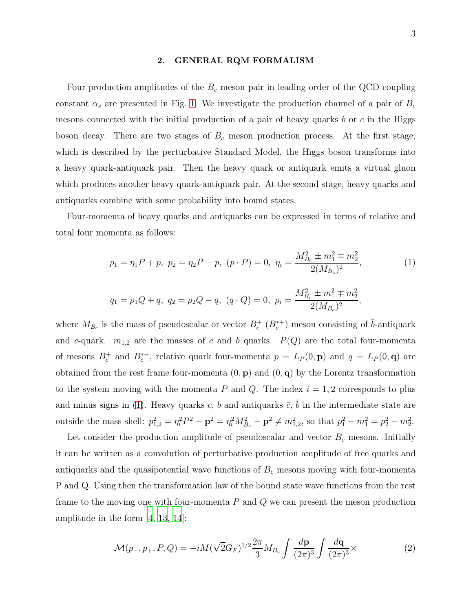#### 2. GENERAL RQM FORMALISM

Four production amplitudes of the  $B<sub>c</sub>$  meson pair in leading order of the QCD coupling constant  $\alpha_s$  are presented in Fig. [1.](#page-3-0) We investigate the production channel of a pair of  $B_c$ mesons connected with the initial production of a pair of heavy quarks b or c in the Higgs boson decay. There are two stages of  $B<sub>c</sub>$  meson production process. At the first stage, which is described by the perturbative Standard Model, the Higgs boson transforms into a heavy quark-antiquark pair. Then the heavy quark or antiquark emits a virtual gluon which produces another heavy quark-antiquark pair. At the second stage, heavy quarks and antiquarks combine with some probability into bound states.

Four-momenta of heavy quarks and antiquarks can be expressed in terms of relative and total four momenta as follows:

<span id="page-2-0"></span>
$$
p_1 = \eta_1 P + p, \ p_2 = \eta_2 P - p, \ (p \cdot P) = 0, \ \eta_i = \frac{M_{B_c}^2 \pm m_1^2 \mp m_2^2}{2(M_{B_c})^2},
$$
  
\n
$$
q_1 = \rho_1 Q + q, \ q_2 = \rho_2 Q - q, \ (q \cdot Q) = 0, \ \rho_i = \frac{M_{B_c}^2 \pm m_1^2 \mp m_2^2}{2(M_{B_c})^2},
$$
\n
$$
(1)
$$

where  $M_{B_c}$  is the mass of pseudoscalar or vector  $B_c^+$  ( $B_c^{*+}$ ) meson consisting of  $\bar{b}$ -antiquark and c-quark.  $m_{1,2}$  are the masses of c and b quarks.  $P(Q)$  are the total four-momenta of mesons  $B_c^+$  and  $B_c^{*-}$ , relative quark four-momenta  $p = L_P(0, \mathbf{p})$  and  $q = L_P(0, \mathbf{q})$  are obtained from the rest frame four-momenta  $(0, \mathbf{p})$  and  $(0, \mathbf{q})$  by the Lorentz transformation to the system moving with the momenta P and Q. The index  $i = 1, 2$  corresponds to plus and minus signs in [\(1\)](#page-2-0). Heavy quarks c, b and antiquarks  $\bar{c}$ ,  $\bar{b}$  in the intermediate state are outside the mass shell:  $p_{1,2}^2 = \eta_i^2 P^2 - \mathbf{p}^2 = \eta_i^2 M_{B_c}^2 - \mathbf{p}^2 \neq m_{1,2}^2$ , so that  $p_1^2 - m_1^2 = p_2^2 - m_2^2$ .

Let consider the production amplitude of pseudoscalar and vector  $B<sub>c</sub>$  mesons. Initially it can be written as a convolution of perturbative production amplitude of free quarks and antiquarks and the quasipotential wave functions of  $B<sub>c</sub>$  mesons moving with four-momenta P and Q. Using then the transformation law of the bound state wave functions from the rest frame to the moving one with four-momenta  $P$  and  $Q$  we can present the meson production amplitude in the form [\[4,](#page-15-3) [13,](#page-16-7) [14\]](#page-16-8):

<span id="page-2-1"></span>
$$
\mathcal{M}(p_-, p_+, P, Q) = -i M (\sqrt{2} G_F)^{1/2} \frac{2\pi}{3} M_{B_c} \int \frac{d\mathbf{p}}{(2\pi)^3} \int \frac{d\mathbf{q}}{(2\pi)^3} \times
$$
 (2)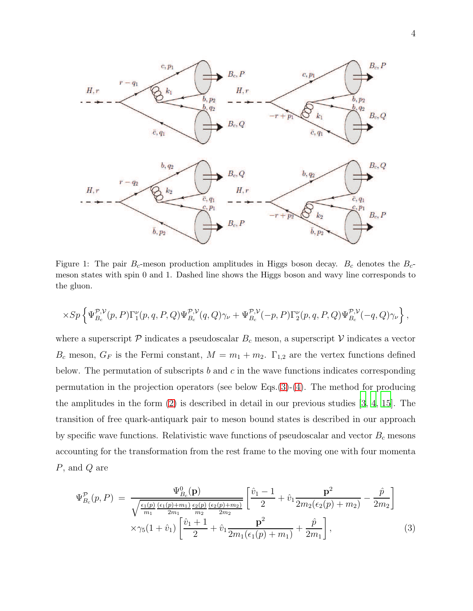

<span id="page-3-0"></span>Figure 1: The pair  $B_c$ -meson production amplitudes in Higgs boson decay.  $B_c$  denotes the  $B_c$ meson states with spin 0 and 1. Dashed line shows the Higgs boson and wavy line corresponds to the gluon.

$$
\times Sp\left\{\Psi_{B_c}^{\mathcal{P},\mathcal{V}}(p,P)\Gamma_{1}^{\nu}(p,q,P,Q)\Psi_{B_c}^{\mathcal{P},\mathcal{V}}(q,Q)\gamma_{\nu}+\Psi_{B_c}^{\mathcal{P},\mathcal{V}}(-p,P)\Gamma_{2}^{\nu}(p,q,P,Q)\Psi_{B_c}^{\mathcal{P},\mathcal{V}}(-q,Q)\gamma_{\nu}\right\},\right\}
$$

where a superscript  $P$  indicates a pseudoscalar  $B_c$  meson, a superscript  $V$  indicates a vector  $B_c$  meson,  $G_F$  is the Fermi constant,  $M = m_1 + m_2$ .  $\Gamma_{1,2}$  are the vertex functions defined below. The permutation of subscripts b and c in the wave functions indicates corresponding permutation in the projection operators (see below Eqs.[\(3\)](#page-3-1)-[\(4\)](#page-4-0). The method for producing the amplitudes in the form [\(2\)](#page-2-1) is described in detail in our previous studies [\[3,](#page-15-2) [4,](#page-15-3) [15\]](#page-16-9). The transition of free quark-antiquark pair to meson bound states is described in our approach by specific wave functions. Relativistic wave functions of pseudoscalar and vector  $B<sub>c</sub>$  mesons accounting for the transformation from the rest frame to the moving one with four momenta P, and Q are

<span id="page-3-1"></span>
$$
\Psi_{B_c}^{\mathcal{P}}(p, P) = \frac{\Psi_{B_c}^0(\mathbf{p})}{\sqrt{\frac{\epsilon_1(p)(\epsilon_1(p) + m_1)}{m_1} \frac{\epsilon_2(p)(\epsilon_2(p) + m_2)}{m_2}} \left[ \frac{\hat{v}_1 - 1}{2} + \hat{v}_1 \frac{\mathbf{p}^2}{2m_2(\epsilon_2(p) + m_2)} - \frac{\hat{p}}{2m_2} \right]} \times \gamma_5(1 + \hat{v}_1) \left[ \frac{\hat{v}_1 + 1}{2} + \hat{v}_1 \frac{\mathbf{p}^2}{2m_1(\epsilon_1(p) + m_1)} + \frac{\hat{p}}{2m_1} \right],
$$
\n(3)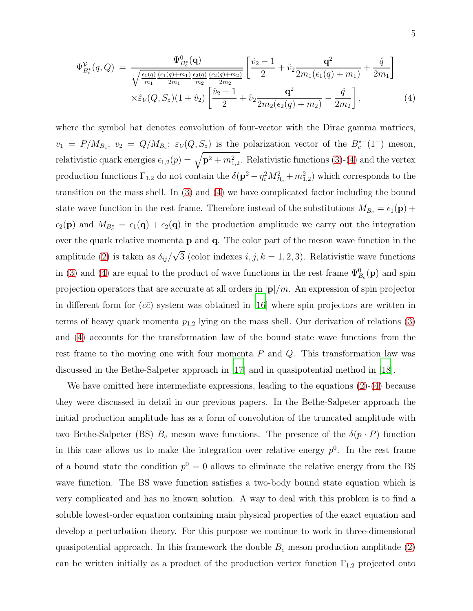<span id="page-4-0"></span>
$$
\Psi_{B_c^*}^{\mathcal{V}}(q, Q) = \frac{\Psi_{B_c^*}^0(\mathbf{q})}{\sqrt{\frac{\epsilon_1(q) (\epsilon_1(q) + m_1) \epsilon_2(q) (\epsilon_2(q) + m_2)}{2m_1}} \left[ \frac{\hat{v}_2 - 1}{2} + \hat{v}_2 \frac{\mathbf{q}^2}{2m_1(\epsilon_1(q) + m_1)} + \frac{\hat{q}}{2m_1} \right]} \times \hat{\epsilon}_{\mathcal{V}}(Q, S_z)(1 + \hat{v}_2) \left[ \frac{\hat{v}_2 + 1}{2} + \hat{v}_2 \frac{\mathbf{q}^2}{2m_2(\epsilon_2(q) + m_2)} - \frac{\hat{q}}{2m_2} \right],
$$
\n(4)

where the symbol hat denotes convolution of four-vector with the Dirac gamma matrices,  $v_1 = P/M_{B_c}, v_2 = Q/M_{B_c}; \varepsilon_v(Q, S_z)$  is the polarization vector of the  $B_c^{*-}(1^-)$  meson, relativistic quark energies  $\epsilon_{1,2}(p) = \sqrt{p^2 + m_{1,2}^2}$ . Relativistic functions [\(3\)](#page-3-1)-[\(4\)](#page-4-0) and the vertex production functions  $\Gamma_{1,2}$  do not contain the  $\delta(p^2 - \eta_i^2 M_{B_c}^2 + m_{1,2}^2)$  which corresponds to the transition on the mass shell. In [\(3\)](#page-3-1) and [\(4\)](#page-4-0) we have complicated factor including the bound state wave function in the rest frame. Therefore instead of the substitutions  $M_{B_c} = \epsilon_1(\mathbf{p}) +$  $\epsilon_2(p)$  and  $M_{B_c^*} = \epsilon_1(q) + \epsilon_2(q)$  in the production amplitude we carry out the integration over the quark relative momenta p and q. The color part of the meson wave function in the amplitude [\(2\)](#page-2-1) is taken as  $\delta_{ij}/\sqrt{3}$  (color indexes *i*, *j*, *k* = 1, 2, 3). Relativistic wave functions in [\(3\)](#page-3-1) and [\(4\)](#page-4-0) are equal to the product of wave functions in the rest frame  $\Psi_{B_c}^0(\mathbf{p})$  and spin projection operators that are accurate at all orders in  $|\mathbf{p}|/m$ . An expression of spin projector in different form for  $(c\bar{c})$  system was obtained in [\[16\]](#page-16-10) where spin projectors are written in terms of heavy quark momenta  $p_{1,2}$  lying on the mass shell. Our derivation of relations [\(3\)](#page-3-1) and [\(4\)](#page-4-0) accounts for the transformation law of the bound state wave functions from the rest frame to the moving one with four momenta  $P$  and  $Q$ . This transformation law was discussed in the Bethe-Salpeter approach in [\[17](#page-16-11)] and in quasipotential method in [\[18\]](#page-16-12).

We have omitted here intermediate expressions, leading to the equations  $(2)-(4)$  $(2)-(4)$  because they were discussed in detail in our previous papers. In the Bethe-Salpeter approach the initial production amplitude has as a form of convolution of the truncated amplitude with two Bethe-Salpeter (BS)  $B_c$  meson wave functions. The presence of the  $\delta(p \cdot P)$  function in this case allows us to make the integration over relative energy  $p^0$ . In the rest frame of a bound state the condition  $p^0 = 0$  allows to eliminate the relative energy from the BS wave function. The BS wave function satisfies a two-body bound state equation which is very complicated and has no known solution. A way to deal with this problem is to find a soluble lowest-order equation containing main physical properties of the exact equation and develop a perturbation theory. For this purpose we continue to work in three-dimensional quasipotential approach. In this framework the double  $B<sub>c</sub>$  meson production amplitude [\(2\)](#page-2-1) can be written initially as a product of the production vertex function  $\Gamma_{1,2}$  projected onto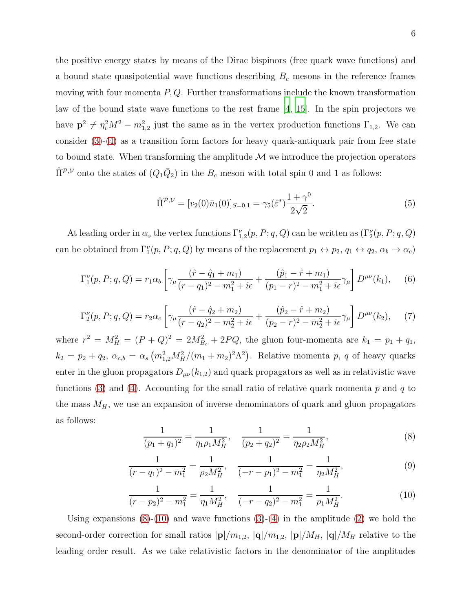the positive energy states by means of the Dirac bispinors (free quark wave functions) and a bound state quasipotential wave functions describing  $B<sub>c</sub>$  mesons in the reference frames moving with four momenta  $P, Q$ . Further transformations include the known transformation law of the bound state wave functions to the rest frame [\[4,](#page-15-3) [15\]](#page-16-9). In the spin projectors we have  $p^2 \neq \eta_i^2 M^2 - m_{1,2}^2$  just the same as in the vertex production functions  $\Gamma_{1,2}$ . We can consider  $(3)-(4)$  $(3)-(4)$  as a transition form factors for heavy quark-antiquark pair from free state to bound state. When transforming the amplitude  $\mathcal M$  we introduce the projection operators  $\hat{\Pi}^{\mathcal{P},\mathcal{V}}$  onto the states of  $(Q_1\bar{Q}_2)$  in the  $B_c$  meson with total spin 0 and 1 as follows:

$$
\hat{\Pi}^{\mathcal{P},\mathcal{V}} = [v_2(0)\bar{u}_1(0)]_{S=0,1} = \gamma_5(\hat{\varepsilon}^*) \frac{1+\gamma^0}{2\sqrt{2}}.
$$
\n(5)

At leading order in  $\alpha_s$  the vertex functions  $\Gamma_{1,2}^{\nu}(p, P; q, Q)$  can be written as  $(\Gamma_2^{\nu}(p, P; q, Q))$ can be obtained from  $\Gamma_1^{\nu}(p, P; q, Q)$  by means of the replacement  $p_1 \leftrightarrow p_2, q_1 \leftrightarrow q_2, \alpha_b \rightarrow \alpha_c$ 

$$
\Gamma_1^{\nu}(p, P; q, Q) = r_1 \alpha_b \left[ \gamma_{\mu} \frac{(\hat{r} - \hat{q}_1 + m_1)}{(r - q_1)^2 - m_1^2 + i\epsilon} + \frac{(\hat{p}_1 - \hat{r} + m_1)}{(p_1 - r)^2 - m_1^2 + i\epsilon} \gamma_{\mu} \right] D^{\mu\nu}(k_1), \quad (6)
$$

$$
\Gamma_2^{\nu}(p, P; q, Q) = r_2 \alpha_c \left[ \gamma_{\mu} \frac{(\hat{r} - \hat{q}_2 + m_2)}{(r - q_2)^2 - m_2^2 + i\epsilon} + \frac{(\hat{p}_2 - \hat{r} + m_2)}{(p_2 - r)^2 - m_2^2 + i\epsilon} \gamma_{\mu} \right] D^{\mu\nu}(k_2), \tag{7}
$$

where  $r^2 = M_H^2 = (P + Q)^2 = 2M_{B_c}^2 + 2PQ$ , the gluon four-momenta are  $k_1 = p_1 + q_1$ ,  $k_2 = p_2 + q_2, \ \alpha_{c,b} = \alpha_s \left( \frac{m_{1,2}^2 M_H^2}{(m_1 + m_2)^2 \Lambda^2} \right)$ . Relative momenta p, q of heavy quarks enter in the gluon propagators  $D_{\mu\nu}(k_{1,2})$  and quark propagators as well as in relativistic wave functions [\(3\)](#page-3-1) and [\(4\)](#page-4-0). Accounting for the small ratio of relative quark momenta p and q to the mass  $M_H$ , we use an expansion of inverse denominators of quark and gluon propagators as follows:

<span id="page-5-0"></span>
$$
\frac{1}{(p_1+q_1)^2} = \frac{1}{\eta_1 \rho_1 M_H^2}, \quad \frac{1}{(p_2+q_2)^2} = \frac{1}{\eta_2 \rho_2 M_H^2},\tag{8}
$$

$$
\frac{1}{(r-q_1)^2 - m_1^2} = \frac{1}{\rho_2 M_H^2}, \quad \frac{1}{(-r-p_1)^2 - m_1^2} = \frac{1}{\eta_2 M_H^2},\tag{9}
$$

<span id="page-5-1"></span>
$$
\frac{1}{(r-p_2)^2 - m_1^2} = \frac{1}{\eta_1 M_H^2}, \quad \frac{1}{(-r-q_2)^2 - m_1^2} = \frac{1}{\rho_1 M_H^2}.
$$
 (10)

Using expansions  $(8)-(10)$  $(8)-(10)$  and wave functions  $(3)-(4)$  $(3)-(4)$  in the amplitude  $(2)$  we hold the second-order correction for small ratios  $|\mathbf{p}|/m_{1,2}$ ,  $|\mathbf{q}|/m_{1,2}$ ,  $|\mathbf{p}|/M_H$ ,  $|\mathbf{q}|/M_H$  relative to the leading order result. As we take relativistic factors in the denominator of the amplitudes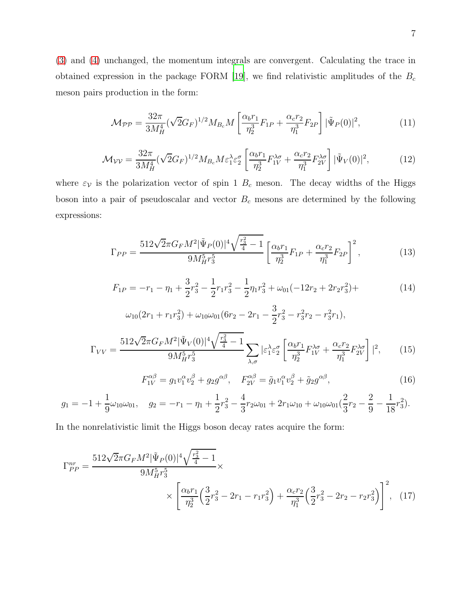[\(3\)](#page-3-1) and [\(4\)](#page-4-0) unchanged, the momentum integrals are convergent. Calculating the trace in obtained expression in the package FORM [\[19](#page-16-13)], we find relativistic amplitudes of the  $B_c$ meson pairs production in the form:

<span id="page-6-0"></span>
$$
\mathcal{M}_{\mathcal{PP}} = \frac{32\pi}{3M_H^4} (\sqrt{2}G_F)^{1/2} M_{B_c} M \left[ \frac{\alpha_b r_1}{\eta_2^3} F_{1P} + \frac{\alpha_c r_2}{\eta_1^3} F_{2P} \right] |\tilde{\Psi}_P(0)|^2, \tag{11}
$$

<span id="page-6-1"></span>
$$
\mathcal{M}_{\mathcal{V}\mathcal{V}} = \frac{32\pi}{3M_H^4} (\sqrt{2}G_F)^{1/2} M_{B_c} M \varepsilon_1^{\lambda} \varepsilon_2^{\sigma} \left[ \frac{\alpha_b r_1}{\eta_2^3} F_{1V}^{\lambda \sigma} + \frac{\alpha_c r_2}{\eta_1^3} F_{2V}^{\lambda \sigma} \right] |\tilde{\Psi}_V(0)|^2, \tag{12}
$$

where  $\varepsilon_V$  is the polarization vector of spin 1  $B_c$  meson. The decay widths of the Higgs boson into a pair of pseudoscalar and vector  $B_c$  mesons are determined by the following expressions:

<span id="page-6-2"></span>
$$
\Gamma_{PP} = \frac{512\sqrt{2}\pi G_F M^2 |\tilde{\Psi}_P(0)|^4 \sqrt{\frac{r_3^2}{4} - 1}}{9M_H^5 r_3^5} \left[ \frac{\alpha_b r_1}{\eta_2^3} F_{1P} + \frac{\alpha_c r_2}{\eta_1^3} F_{2P} \right]^2, \tag{13}
$$

$$
F_{1P} = -r_1 - \eta_1 + \frac{3}{2}r_3^2 - \frac{1}{2}r_1r_3^2 - \frac{1}{2}\eta_1r_3^2 + \omega_{01}(-12r_2 + 2r_2r_3^2) + \tag{14}
$$

<span id="page-6-3"></span>
$$
\omega_{10}(2r_1 + r_1r_3^2) + \omega_{10}\omega_{01}(6r_2 - 2r_1 - \frac{3}{2}r_3^2 - r_3^2r_2 - r_3^2r_1),
$$
  

$$
\Gamma_{VV} = \frac{512\sqrt{2}\pi G_F M^2 |\tilde{\Psi}_V(0)|^4 \sqrt{\frac{r_3^2}{4} - 1}}{9M_H^5 r_3^5} \sum_{\lambda,\sigma} |\varepsilon_1^{\lambda} \varepsilon_2^{\sigma} \left[ \frac{\alpha_b r_1}{\eta_2^3} F_{1V}^{\lambda \sigma} + \frac{\alpha_c r_2}{\eta_1^3} F_{2V}^{\lambda \sigma} \right]|^2, \qquad (15)
$$

<span id="page-6-4"></span>
$$
F_{1V}^{\alpha\beta} = g_1 v_1^{\alpha} v_2^{\beta} + g_2 g^{\alpha\beta}, \quad F_{2V}^{\alpha\beta} = \tilde{g}_1 v_1^{\alpha} v_2^{\beta} + \tilde{g}_2 g^{\alpha\beta}, \tag{16}
$$

$$
g_1 = -1 + \frac{1}{9}\omega_{10}\omega_{01}, \quad g_2 = -r_1 - \eta_1 + \frac{1}{2}r_3^2 - \frac{4}{3}r_2\omega_{01} + 2r_1\omega_{10} + \omega_{10}\omega_{01}(\frac{2}{3}r_2 - \frac{2}{9} - \frac{1}{18}r_3^2).
$$

In the nonrelativistic limit the Higgs boson decay rates acquire the form:

$$
\Gamma_{PP}^{nr} = \frac{512\sqrt{2}\pi G_F M^2 |\tilde{\Psi}_P(0)|^4 \sqrt{\frac{r_3^2}{4} - 1}}{9M_H^5 r_3^5} \times \left[ \frac{\alpha_b r_1}{\eta_2^3} \left( \frac{3}{2} r_3^2 - 2r_1 - r_1 r_3^2 \right) + \frac{\alpha_c r_2}{\eta_1^3} \left( \frac{3}{2} r_3^2 - 2r_2 - r_2 r_3^2 \right) \right]^2, \tag{17}
$$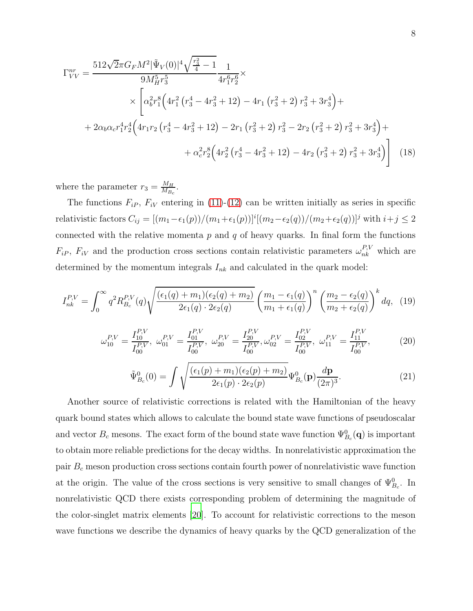$$
\Gamma_{VV}^{nr} = \frac{512\sqrt{2}\pi G_F M^2 |\tilde{\Psi}_V(0)|^4 \sqrt{\frac{r_3^2}{4} - 1}}{9M_H^5 r_3^5} \frac{1}{4r_1^6 r_2^6} \times
$$
\n
$$
\times \left[ \alpha_6^2 r_1^8 \left( 4r_1^2 \left( r_3^4 - 4r_3^2 + 12 \right) - 4r_1 \left( r_3^2 + 2 \right) r_3^2 + 3r_3^4 \right) + \right.
$$
\n
$$
+ 2\alpha_b \alpha_c r_1^4 r_2^4 \left( 4r_1 r_2 \left( r_3^4 - 4r_3^2 + 12 \right) - 2r_1 \left( r_3^2 + 2 \right) r_3^2 - 2r_2 \left( r_3^2 + 2 \right) r_3^2 + 3r_3^4 \right) + \left. + \alpha_c^2 r_2^8 \left( 4r_2^2 \left( r_3^4 - 4r_3^2 + 12 \right) - 4r_2 \left( r_3^2 + 2 \right) r_3^2 + 3r_3^4 \right) \right] \tag{18}
$$

<span id="page-7-1"></span>where the parameter  $r_3 = \frac{M_H}{M_B}$  $\frac{M_H}{M_{B_c}}.$ 

The functions  $F_{iP}$ ,  $F_{iV}$  entering in [\(11\)](#page-6-0)-[\(12\)](#page-6-1) can be written initially as series in specific relativistic factors  $C_{ij} = [(m_1 - \epsilon_1(p))/(m_1 + \epsilon_1(p))]^i [(m_2 - \epsilon_2(q))/(m_2 + \epsilon_2(q))]^j$  with  $i + j \leq 2$ connected with the relative momenta  $p$  and  $q$  of heavy quarks. In final form the functions  $F_{iP}$ ,  $F_{iV}$  and the production cross sections contain relativistic parameters  $\omega_{nk}^{P,V}$  which are determined by the momentum integrals  $I_{nk}$  and calculated in the quark model:

$$
I_{nk}^{P,V} = \int_0^\infty q^2 R_{B_c}^{P,V}(q) \sqrt{\frac{(\epsilon_1(q) + m_1)(\epsilon_2(q) + m_2)}{2\epsilon_1(q) \cdot 2\epsilon_2(q)}} \left(\frac{m_1 - \epsilon_1(q)}{m_1 + \epsilon_1(q)}\right)^n \left(\frac{m_2 - \epsilon_2(q)}{m_2 + \epsilon_2(q)}\right)^k dq, \tag{19}
$$

<span id="page-7-0"></span>
$$
\omega_{10}^{P,V} = \frac{I_{10}^{P,V}}{I_{00}^{P,V}}, \ \omega_{01}^{P,V} = \frac{I_{01}^{P,V}}{I_{00}^{P,V}}, \ \omega_{20}^{P,V} = \frac{I_{20}^{P,V}}{I_{00}^{P,V}}, \omega_{02}^{P,V} = \frac{I_{02}^{P,V}}{I_{00}^{P,V}}, \ \omega_{11}^{P,V} = \frac{I_{11}^{P,V}}{I_{00}^{P,V}}, \tag{20}
$$

$$
\tilde{\Psi}_{B_c}^0(0) = \int \sqrt{\frac{(\epsilon_1(p) + m_1)(\epsilon_2(p) + m_2)}{2\epsilon_1(p) \cdot 2\epsilon_2(p)}} \Psi_{B_c}^0(\mathbf{p}) \frac{d\mathbf{p}}{(2\pi)^3}.
$$
\n(21)

Another source of relativistic corrections is related with the Hamiltonian of the heavy quark bound states which allows to calculate the bound state wave functions of pseudoscalar and vector  $B_c$  mesons. The exact form of the bound state wave function  $\Psi_{B_c}^0(\mathbf{q})$  is important to obtain more reliable predictions for the decay widths. In nonrelativistic approximation the pair  $B<sub>c</sub>$  meson production cross sections contain fourth power of nonrelativistic wave function at the origin. The value of the cross sections is very sensitive to small changes of  $\Psi_{B_c}^0$ . In nonrelativistic QCD there exists corresponding problem of determining the magnitude of the color-singlet matrix elements [\[20\]](#page-16-14). To account for relativistic corrections to the meson wave functions we describe the dynamics of heavy quarks by the QCD generalization of the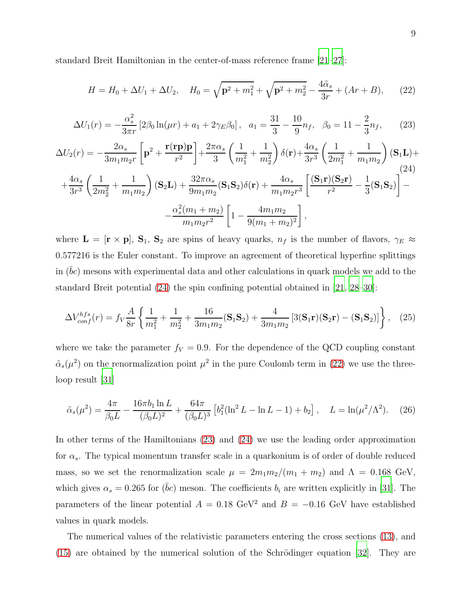standard Breit Hamiltonian in the center-of-mass reference frame [\[21](#page-16-15)[–27](#page-16-16)]:

<span id="page-8-1"></span>
$$
H = H_0 + \Delta U_1 + \Delta U_2, \quad H_0 = \sqrt{\mathbf{p}^2 + m_1^2} + \sqrt{\mathbf{p}^2 + m_2^2} - \frac{4\tilde{\alpha}_s}{3r} + (Ar + B), \tag{22}
$$

<span id="page-8-2"></span>
$$
\Delta U_1(r) = -\frac{\alpha_s^2}{3\pi r} \left[ 2\beta_0 \ln(\mu r) + a_1 + 2\gamma_E \beta_0 \right], \quad a_1 = \frac{31}{3} - \frac{10}{9} n_f, \quad \beta_0 = 11 - \frac{2}{3} n_f, \tag{23}
$$

<span id="page-8-0"></span>
$$
\Delta U_2(r) = -\frac{2\alpha_s}{3m_1m_2r} \left[ \mathbf{p}^2 + \frac{\mathbf{r}(\mathbf{r}\mathbf{p})\mathbf{p}}{r^2} \right] + \frac{2\pi\alpha_s}{3} \left( \frac{1}{m_1^2} + \frac{1}{m_2^2} \right) \delta(\mathbf{r}) + \frac{4\alpha_s}{3r^3} \left( \frac{1}{2m_1^2} + \frac{1}{m_1m_2} \right) (\mathbf{S}_1\mathbf{L}) +
$$
  
+ 
$$
\frac{4\alpha_s}{3r^3} \left( \frac{1}{2m_2^2} + \frac{1}{m_1m_2} \right) (\mathbf{S}_2\mathbf{L}) + \frac{32\pi\alpha_s}{9m_1m_2} (\mathbf{S}_1\mathbf{S}_2) \delta(\mathbf{r}) + \frac{4\alpha_s}{m_1m_2r^3} \left[ \frac{(\mathbf{S}_1\mathbf{r})(\mathbf{S}_2\mathbf{r})}{r^2} - \frac{1}{3} (\mathbf{S}_1\mathbf{S}_2) \right] -
$$
  
- 
$$
\frac{\alpha_s^2(m_1 + m_2)}{m_1m_2r^2} \left[ 1 - \frac{4m_1m_2}{9(m_1 + m_2)^2} \right],
$$

where  $\mathbf{L} = [\mathbf{r} \times \mathbf{p}], \mathbf{S}_1, \mathbf{S}_2$  are spins of heavy quarks,  $n_f$  is the number of flavors,  $\gamma_E \approx$ 0.577216 is the Euler constant. To improve an agreement of theoretical hyperfine splittings in  $(bc)$  mesons with experimental data and other calculations in quark models we add to the standard Breit potential [\(24\)](#page-8-0) the spin confining potential obtained in [\[21,](#page-16-15) [28](#page-16-17)[–30](#page-16-18)]:

$$
\Delta V_{conf}^{hfs}(r) = f_V \frac{A}{8r} \left\{ \frac{1}{m_1^2} + \frac{1}{m_2^2} + \frac{16}{3m_1m_2} (\mathbf{S}_1 \mathbf{S}_2) + \frac{4}{3m_1m_2} \left[ 3(\mathbf{S}_1 \mathbf{r}) (\mathbf{S}_2 \mathbf{r}) - (\mathbf{S}_1 \mathbf{S}_2) \right] \right\}, \quad (25)
$$

where we take the parameter  $f_V = 0.9$ . For the dependence of the QCD coupling constant  $\tilde{\alpha}_s(\mu^2)$  on the renormalization point  $\mu^2$  in the pure Coulomb term in [\(22\)](#page-8-1) we use the threeloop result [\[31](#page-16-19)]

<span id="page-8-3"></span>
$$
\tilde{\alpha}_s(\mu^2) = \frac{4\pi}{\beta_0 L} - \frac{16\pi b_1 \ln L}{(\beta_0 L)^2} + \frac{64\pi}{(\beta_0 L)^3} \left[ b_1^2 (\ln^2 L - \ln L - 1) + b_2 \right], \quad L = \ln(\mu^2/\Lambda^2). \tag{26}
$$

In other terms of the Hamiltonians [\(23\)](#page-8-2) and [\(24\)](#page-8-0) we use the leading order approximation for  $\alpha_s$ . The typical momentum transfer scale in a quarkonium is of order of double reduced mass, so we set the renormalization scale  $\mu = 2m_1m_2/(m_1 + m_2)$  and  $\Lambda = 0.168$  GeV, which gives  $\alpha_s = 0.265$  for  $(\bar{b}c)$  meson. The coefficients  $b_i$  are written explicitly in [\[31\]](#page-16-19). The parameters of the linear potential  $A = 0.18 \text{ GeV}^2$  and  $B = -0.16 \text{ GeV}$  have established values in quark models.

The numerical values of the relativistic parameters entering the cross sections [\(13\)](#page-6-2), and  $(15)$  are obtained by the numerical solution of the Schrödinger equation [\[32\]](#page-16-20). They are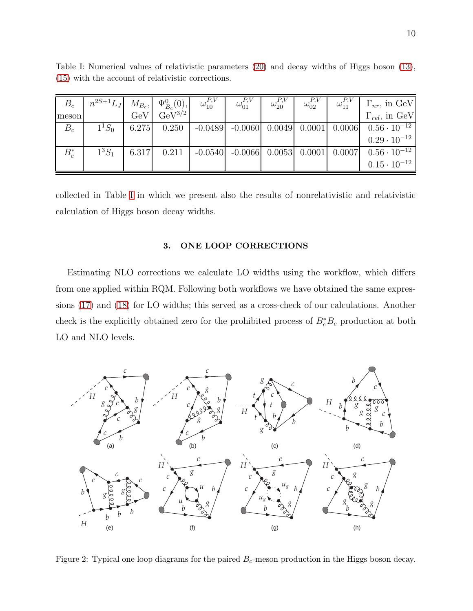| $B_c$   | $n^{2S+1}L_J$ $M_{B_c}$ , $\Psi_{B_c}^0(0)$ , $\omega_{10}^{P,V}$ |       |                 | $\omega_{01}^{P,V}$                                              | $\omega_{20}^{P,V}$ | $\omega_{02}^{P,V}$ | $\omega_{11}^{P,V}$ | $\Gamma_{nr}$ , in GeV  |
|---------|-------------------------------------------------------------------|-------|-----------------|------------------------------------------------------------------|---------------------|---------------------|---------------------|-------------------------|
| meson   |                                                                   | GeV   | $\rm GeV^{3/2}$ |                                                                  |                     |                     |                     | $\Gamma_{rel}$ , in GeV |
| $B_c$   | $1^1S_0$                                                          | 6.275 | 0.250           | $-0.0489$ $-0.0060$ $0.0049$ $0.0001$ $0.0006$                   |                     |                     |                     | $0.56 \cdot 10^{-12}$   |
|         |                                                                   |       |                 |                                                                  |                     |                     |                     | $0.29 \cdot 10^{-12}$   |
| $B_c^*$ | $1^3S_1$                                                          | 6.317 |                 | $0.211$   $-0.0540$   $-0.0066$   $0.0053$   $0.0001$   $0.0007$ |                     |                     |                     | $0.56 \cdot 10^{-12}$   |
|         |                                                                   |       |                 |                                                                  |                     |                     |                     | $0.15 \cdot 10^{-12}$   |

<span id="page-9-0"></span>Table I: Numerical values of relativistic parameters [\(20\)](#page-7-0) and decay widths of Higgs boson [\(13\)](#page-6-2), [\(15\)](#page-6-3) with the account of relativistic corrections.

collected in Table [I](#page-9-0) in which we present also the results of nonrelativistic and relativistic calculation of Higgs boson decay widths.

# 3. ONE LOOP CORRECTIONS

Estimating NLO corrections we calculate LO widths using the workflow, which differs from one applied within RQM. Following both workflows we have obtained the same expressions [\(17\)](#page-6-4) and [\(18\)](#page-7-1) for LO widths; this served as a cross-check of our calculations. Another check is the explicitly obtained zero for the prohibited process of  $B_c^*B_c$  production at both LO and NLO levels.



<span id="page-9-1"></span>Figure 2: Typical one loop diagrams for the paired  $B<sub>c</sub>$ -meson production in the Higgs boson decay.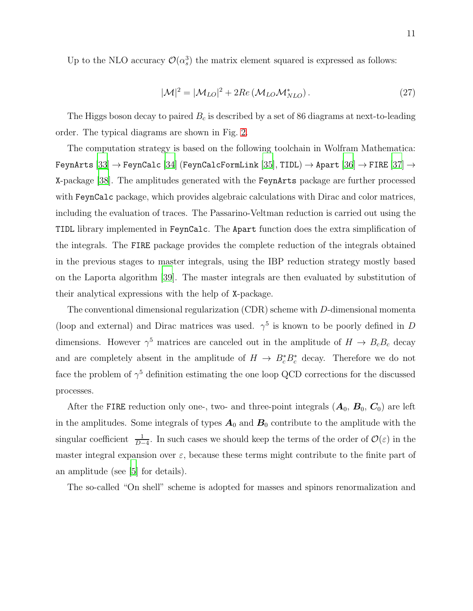Up to the NLO accuracy  $\mathcal{O}(\alpha_s^3)$  the matrix element squared is expressed as follows:

$$
|\mathcal{M}|^2 = |\mathcal{M}_{LO}|^2 + 2Re\left(\mathcal{M}_{LO}\mathcal{M}_{NLO}^*\right). \tag{27}
$$

The Higgs boson decay to paired  $B_c$  is described by a set of 86 diagrams at next-to-leading order. The typical diagrams are shown in Fig. [2.](#page-9-1)

The computation strategy is based on the following toolchain in Wolfram Mathematica:  $\texttt{FeynArts}\ [33] \rightarrow \texttt{FeynCalc}\ [34]\ \text{(FeynCalcFormLink}\ [35],\texttt{TIDL}) \rightarrow \texttt{Apart}\ [36] \rightarrow \texttt{FIRE}\ [37] \rightarrow$  $\texttt{FeynArts}\ [33] \rightarrow \texttt{FeynCalc}\ [34]\ \text{(FeynCalcFormLink}\ [35],\texttt{TIDL}) \rightarrow \texttt{Apart}\ [36] \rightarrow \texttt{FIRE}\ [37] \rightarrow$  $\texttt{FeynArts}\ [33] \rightarrow \texttt{FeynCalc}\ [34]\ \text{(FeynCalcFormLink}\ [35],\texttt{TIDL}) \rightarrow \texttt{Apart}\ [36] \rightarrow \texttt{FIRE}\ [37] \rightarrow$  $\texttt{FeynArts}\ [33] \rightarrow \texttt{FeynCalc}\ [34]\ \text{(FeynCalcFormLink}\ [35],\texttt{TIDL}) \rightarrow \texttt{Apart}\ [36] \rightarrow \texttt{FIRE}\ [37] \rightarrow$  $\texttt{FeynArts}\ [33] \rightarrow \texttt{FeynCalc}\ [34]\ \text{(FeynCalcFormLink}\ [35],\texttt{TIDL}) \rightarrow \texttt{Apart}\ [36] \rightarrow \texttt{FIRE}\ [37] \rightarrow$  $\texttt{FeynArts}\ [33] \rightarrow \texttt{FeynCalc}\ [34]\ \text{(FeynCalcFormLink}\ [35],\texttt{TIDL}) \rightarrow \texttt{Apart}\ [36] \rightarrow \texttt{FIRE}\ [37] \rightarrow$  $\texttt{FeynArts}\ [33] \rightarrow \texttt{FeynCalc}\ [34]\ \text{(FeynCalcFormLink}\ [35],\texttt{TIDL}) \rightarrow \texttt{Apart}\ [36] \rightarrow \texttt{FIRE}\ [37] \rightarrow$  $\texttt{FeynArts}\ [33] \rightarrow \texttt{FeynCalc}\ [34]\ \text{(FeynCalcFormLink}\ [35],\texttt{TIDL}) \rightarrow \texttt{Apart}\ [36] \rightarrow \texttt{FIRE}\ [37] \rightarrow$  $\texttt{FeynArts}\ [33] \rightarrow \texttt{FeynCalc}\ [34]\ \text{(FeynCalcFormLink}\ [35],\texttt{TIDL}) \rightarrow \texttt{Apart}\ [36] \rightarrow \texttt{FIRE}\ [37] \rightarrow$  $\texttt{FeynArts}\ [33] \rightarrow \texttt{FeynCalc}\ [34]\ \text{(FeynCalcFormLink}\ [35],\texttt{TIDL}) \rightarrow \texttt{Apart}\ [36] \rightarrow \texttt{FIRE}\ [37] \rightarrow$  $\texttt{FeynArts}\ [33] \rightarrow \texttt{FeynCalc}\ [34]\ \text{(FeynCalcFormLink}\ [35],\texttt{TIDL}) \rightarrow \texttt{Apart}\ [36] \rightarrow \texttt{FIRE}\ [37] \rightarrow$ X-package [\[38](#page-17-5)]. The amplitudes generated with the FeynArts package are further processed with FeynCalc package, which provides algebraic calculations with Dirac and color matrices, including the evaluation of traces. The Passarino-Veltman reduction is carried out using the TIDL library implemented in FeynCalc. The Apart function does the extra simplification of the integrals. The FIRE package provides the complete reduction of the integrals obtained in the previous stages to master integrals, using the IBP reduction strategy mostly based on the Laporta algorithm [\[39](#page-17-6)]. The master integrals are then evaluated by substitution of their analytical expressions with the help of X-package.

The conventional dimensional regularization (CDR) scheme with D-dimensional momenta (loop and external) and Dirac matrices was used.  $\gamma^5$  is known to be poorly defined in D dimensions. However  $\gamma^5$  matrices are canceled out in the amplitude of  $H \to B_c B_c$  decay and are completely absent in the amplitude of  $H \to B_c^* B_c^*$  decay. Therefore we do not face the problem of  $\gamma^5$  definition estimating the one loop QCD corrections for the discussed processes.

After the FIRE reduction only one-, two- and three-point integrals  $(A_0, B_0, C_0)$  are left in the amplitudes. Some integrals of types  $A_0$  and  $B_0$  contribute to the amplitude with the singular coefficient  $\frac{1}{D-4}$ . In such cases we should keep the terms of the order of  $\mathcal{O}(\varepsilon)$  in the master integral expansion over  $\varepsilon$ , because these terms might contribute to the finite part of an amplitude (see [\[5](#page-15-4)] for details).

The so-called "On shell" scheme is adopted for masses and spinors renormalization and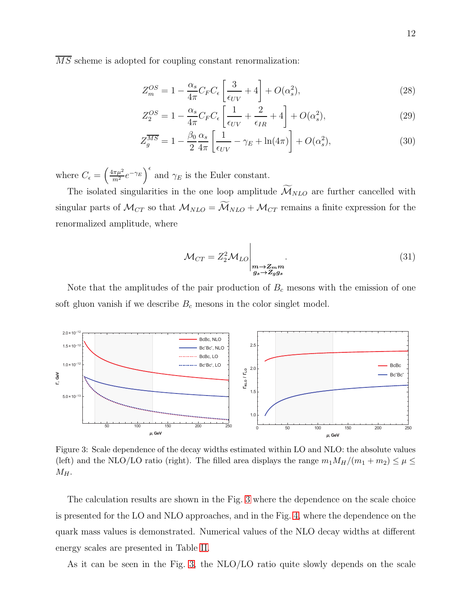$\overline{MS}$  scheme is adopted for coupling constant renormalization:

$$
Z_m^{OS} = 1 - \frac{\alpha_s}{4\pi} C_F C_\epsilon \left[ \frac{3}{\epsilon_{UV}} + 4 \right] + O(\alpha_s^2),\tag{28}
$$

$$
Z_2^{OS} = 1 - \frac{\alpha_s}{4\pi} C_F C_\epsilon \left[ \frac{1}{\epsilon_{UV}} + \frac{2}{\epsilon_{IR}} + 4 \right] + O(\alpha_s^2),\tag{29}
$$

$$
Z_g^{\overline{MS}} = 1 - \frac{\beta_0}{2} \frac{\alpha_s}{4\pi} \left[ \frac{1}{\epsilon_{UV}} - \gamma_E + \ln(4\pi) \right] + O(\alpha_s^2),\tag{30}
$$

where  $C_{\epsilon} = \left(\frac{4\pi\mu^2}{m^2}e^{-\gamma_E}\right)^{\epsilon}$  and  $\gamma_E$  is the Euler constant.

The isolated singularities in the one loop amplitude  $\widetilde{\mathcal{M}}_{NLO}$  are further cancelled with singular parts of  $\mathcal{M}_{CT}$  so that  $\mathcal{M}_{NLO} = \widetilde{\mathcal{M}}_{NLO} + \mathcal{M}_{CT}$  remains a finite expression for the renormalized amplitude, where

$$
\mathcal{M}_{CT} = Z_2^2 \mathcal{M}_{LO} \Big|_{\substack{m \to Z_m m \\ g_s \to Z_g g_s}}.
$$
\n(31)

Note that the amplitudes of the pair production of  $B<sub>c</sub>$  mesons with the emission of one soft gluon vanish if we describe  $B_c$  mesons in the color singlet model.



<span id="page-11-0"></span>Figure 3: Scale dependence of the decay widths estimated within LO and NLO: the absolute values (left) and the NLO/LO ratio (right). The filled area displays the range  $m_1M_H/(m_1 + m_2) \leq \mu \leq$  $\mathcal{M}_H.$ 

The calculation results are shown in the Fig. [3](#page-11-0) where the dependence on the scale choice is presented for the LO and NLO approaches, and in the Fig. [4,](#page-12-0) where the dependence on the quark mass values is demonstrated. Numerical values of the NLO decay widths at different energy scales are presented in Table [II.](#page-13-0)

As it can be seen in the Fig. [3,](#page-11-0) the NLO/LO ratio quite slowly depends on the scale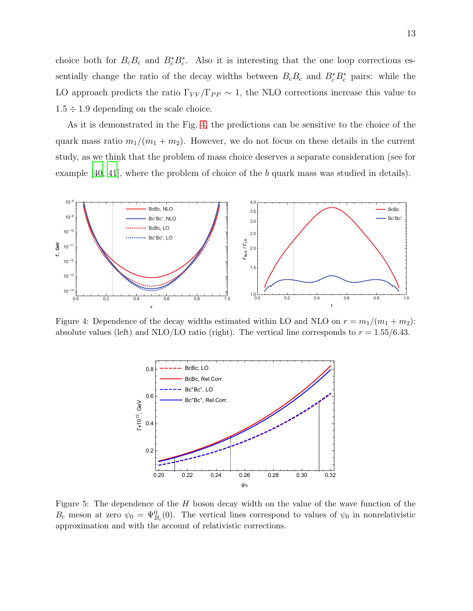choice both for  $B_cB_c$  and  $B_c^*B_c^*$ . Also it is interesting that the one loop corrections essentially change the ratio of the decay widths between  $B_cB_c$  and  $B_c^*B_c^*$  pairs: while the LO approach predicts the ratio  $\Gamma_{VV}/\Gamma_{PP} \sim 1$ , the NLO corrections increase this value to  $1.5 \div 1.9$  depending on the scale choice.

As it is demonstrated in the Fig. [4,](#page-12-0) the predictions can be sensitive to the choice of the quark mass ratio  $m_1/(m_1 + m_2)$ . However, we do not focus on these details in the current study, as we think that the problem of mass choice deserves a separate consideration (see for example [\[40,](#page-17-7) [41\]](#page-17-8), where the problem of choice of the b quark mass was studied in details).



<span id="page-12-0"></span>Figure 4: Dependence of the decay widths estimated within LO and NLO on  $r = m_1/(m_1 + m_2)$ : absolute values (left) and NLO/LO ratio (right). The vertical line corresponds to  $r = 1.55/6.43$ .



<span id="page-12-1"></span>Figure 5: The dependence of the  $H$  boson decay width on the value of the wave function of the  $B_c$  meson at zero  $\psi_0 = \Psi_{B_c}^0(0)$ . The vertical lines correspond to values of  $\psi_0$  in nonrelativistic approximation and with the account of relativistic corrections.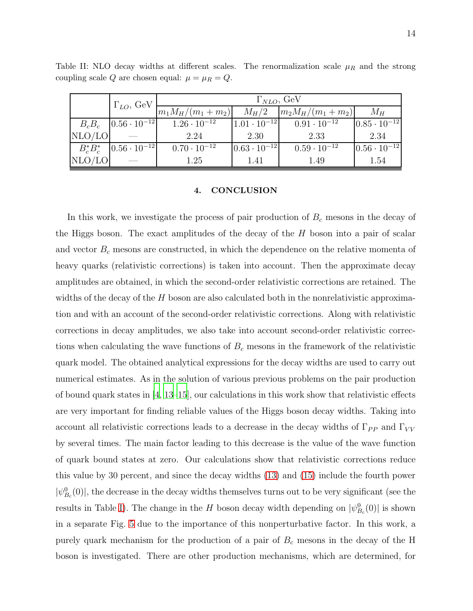<span id="page-13-0"></span>

|        | $\Gamma_{LO}$ , GeV                                | $\Gamma_{NLO}$ , GeV  |                         |                       |                         |  |  |  |
|--------|----------------------------------------------------|-----------------------|-------------------------|-----------------------|-------------------------|--|--|--|
|        |                                                    | $ m_1M_H/(m_1+m_2) $  | $M_H/2$                 | $ m_2M_H/(m_1+m_2) $  | $M_H$                   |  |  |  |
|        | $B_c B_c$ $ 0.56 \cdot 10^{-12} $                  | $1.26 \cdot 10^{-12}$ | $ 1.01 \cdot 10^{-12} $ | $0.91 \cdot 10^{-12}$ | $ 0.85 \cdot 10^{-12} $ |  |  |  |
| NLO/LO |                                                    | 2.24                  | 2.30                    | 2.33                  | 2.34                    |  |  |  |
|        | $B_c^* B_c^*$ $\left  0.56 \cdot 10^{-12} \right $ | $0.70 \cdot 10^{-12}$ | $0.63 \cdot 10^{-12}$   | $0.59 \cdot 10^{-12}$ | $ 0.56 \cdot 10^{-12} $ |  |  |  |
| NLO/LO |                                                    | 1.25                  | 1.41                    | 1.49                  | 1.54                    |  |  |  |

Table II: NLO decay widths at different scales. The renormalization scale  $\mu_R$  and the strong coupling scale  $Q$  are chosen equal:  $\mu = \mu_R = Q$ .

# 4. CONCLUSION

In this work, we investigate the process of pair production of  $B<sub>c</sub>$  mesons in the decay of the Higgs boson. The exact amplitudes of the decay of the  $H$  boson into a pair of scalar and vector  $B<sub>c</sub>$  mesons are constructed, in which the dependence on the relative momenta of heavy quarks (relativistic corrections) is taken into account. Then the approximate decay amplitudes are obtained, in which the second-order relativistic corrections are retained. The widths of the decay of the  $H$  boson are also calculated both in the nonrelativistic approximation and with an account of the second-order relativistic corrections. Along with relativistic corrections in decay amplitudes, we also take into account second-order relativistic corrections when calculating the wave functions of  $B<sub>c</sub>$  mesons in the framework of the relativistic quark model. The obtained analytical expressions for the decay widths are used to carry out numerical estimates. As in the solution of various previous problems on the pair production of bound quark states in  $\left[4, 13-15\right]$  $\left[4, 13-15\right]$  $\left[4, 13-15\right]$ , our calculations in this work show that relativistic effects are very important for finding reliable values of the Higgs boson decay widths. Taking into account all relativistic corrections leads to a decrease in the decay widths of  $\Gamma_{PP}$  and  $\Gamma_{VV}$ by several times. The main factor leading to this decrease is the value of the wave function of quark bound states at zero. Our calculations show that relativistic corrections reduce this value by 30 percent, and since the decay widths [\(13\)](#page-6-2) and [\(15\)](#page-6-3) include the fourth power  $|\psi_{B_c}^0(0)|$ , the decrease in the decay widths themselves turns out to be very significant (see the results in Table [I\)](#page-9-0). The change in the H boson decay width depending on  $|\psi_{B_c}^0(0)|$  is shown in a separate Fig. [5](#page-12-1) due to the importance of this nonperturbative factor. In this work, a purely quark mechanism for the production of a pair of  $B<sub>c</sub>$  mesons in the decay of the H boson is investigated. There are other production mechanisms, which are determined, for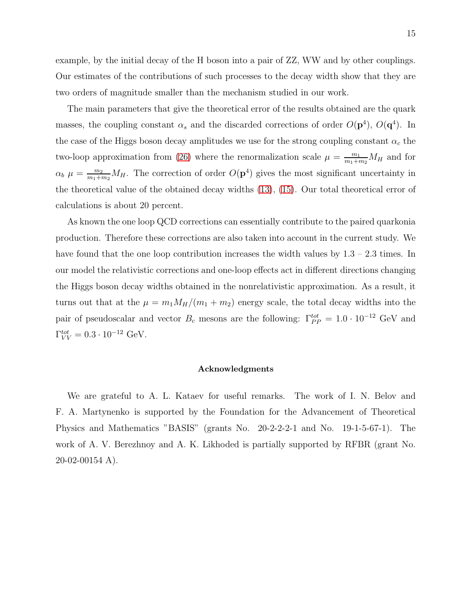example, by the initial decay of the H boson into a pair of ZZ, WW and by other couplings. Our estimates of the contributions of such processes to the decay width show that they are two orders of magnitude smaller than the mechanism studied in our work.

The main parameters that give the theoretical error of the results obtained are the quark masses, the coupling constant  $\alpha_s$  and the discarded corrections of order  $O(\mathbf{p}^4)$ ,  $O(\mathbf{q}^4)$ . In the case of the Higgs boson decay amplitudes we use for the strong coupling constant  $\alpha_c$  the two-loop approximation from [\(26\)](#page-8-3) where the renormalization scale  $\mu = \frac{m_1}{m_1 + m_2} M_H$  and for  $\alpha_b$   $\mu = \frac{m_2}{m_1 + m_2} M_H$ . The correction of order  $O(p^4)$  gives the most significant uncertainty in the theoretical value of the obtained decay widths [\(13\)](#page-6-2), [\(15\)](#page-6-3). Our total theoretical error of calculations is about 20 percent.

As known the one loop QCD corrections can essentially contribute to the paired quarkonia production. Therefore these corrections are also taken into account in the current study. We have found that the one loop contribution increases the width values by  $1.3 - 2.3$  times. In our model the relativistic corrections and one-loop effects act in different directions changing the Higgs boson decay widths obtained in the nonrelativistic approximation. As a result, it turns out that at the  $\mu = m_1 M_H/(m_1 + m_2)$  energy scale, the total decay widths into the pair of pseudoscalar and vector  $B_c$  mesons are the following:  $\Gamma_{PP}^{tot} = 1.0 \cdot 10^{-12}$  GeV and  $\Gamma_{VV}^{tot} = 0.3 \cdot 10^{-12} \text{ GeV}.$ 

## Acknowledgments

We are grateful to A. L. Kataev for useful remarks. The work of I. N. Belov and F. A. Martynenko is supported by the Foundation for the Advancement of Theoretical Physics and Mathematics "BASIS" (grants No. 20-2-2-2-1 and No. 19-1-5-67-1). The work of A. V. Berezhnoy and A. K. Likhoded is partially supported by RFBR (grant No. 20-02-00154 A).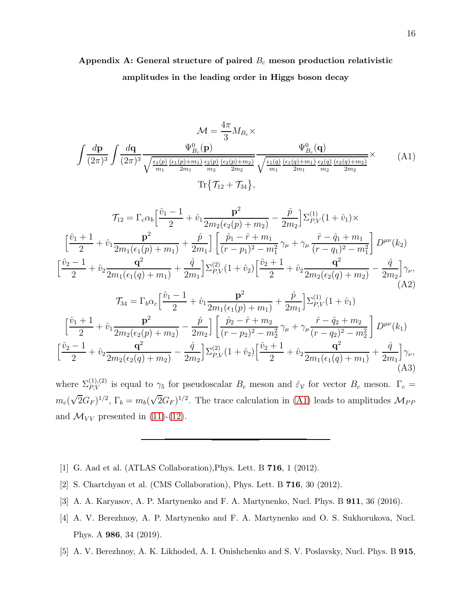# Appendix A: General structure of paired  $B_c$  meson production relativistic amplitudes in the leading order in Higgs boson decay

<span id="page-15-5"></span>
$$
\mathcal{M} = \frac{4\pi}{3} M_{B_c} \times
$$
\n
$$
\int \frac{d\mathbf{p}}{(2\pi)^3} \int \frac{d\mathbf{q}}{(2\pi)^3} \frac{\Psi_{B_c}^0(\mathbf{p})}{\sqrt{\frac{\epsilon_1(p)}{m_1} \frac{(\epsilon_1(p) + m_1)}{2m_1} \frac{\epsilon_2(p)}{m_2} \frac{(\epsilon_2(p) + m_2)}{2m_2}}} \frac{\Psi_{B_c}^0(\mathbf{q})}{\sqrt{\frac{\epsilon_1(q)}{m_1} \frac{(\epsilon_1(q) + m_1)}{2m_1} \frac{\epsilon_2(q)}{m_2} \frac{(\epsilon_2(q) + m_2)}{2m_2}}} \times
$$
\n(A1)\n
$$
\text{Tr}\{\mathcal{T}_{12} + \mathcal{T}_{34}\},
$$
\n
$$
\mathcal{T}_{12} = \Gamma_c \alpha_b \left[\frac{\hat{v}_1 - 1}{2} + \hat{v}_1 \frac{\mathbf{p}^2}{2m_2(\epsilon_2(p) + m_2)} - \frac{\hat{p}}{2m_2}\right] \Sigma_{P,V}^{(1)}(1 + \hat{v}_1) \times
$$
\n
$$
\left[\frac{\hat{v}_1 + 1}{2} + \hat{v}_1 \frac{\mathbf{p}^2}{2m_1(\epsilon_1(p) + m_1)} + \frac{\hat{p}}{2m_1}\right] \left[\frac{\hat{p}_1 - \hat{r} + m_1}{(r - p_1)^2 - m_1^2} \gamma_\mu + \gamma_\mu \frac{\hat{r} - \hat{q}_1 + m_1}{(r - q_1)^2 - m_1^2}\right] D^{\mu\nu}(k_2)
$$
\n
$$
\left[\frac{\hat{v}_2 - 1}{2} + \hat{v}_2 \frac{\mathbf{q}^2}{2m_1(\epsilon_1(q) + m_1)} + \frac{\hat{q}}{2m_1}\right] \Sigma_{P,V}^{(2)}(1 + \hat{v}_2) \left[\frac{\hat{v}_2 + 1}{2} + \hat{v}_2 \frac{\mathbf{q}^2}{2m_2(\epsilon_2(q) + m_2)} - \frac{\hat{q}}{2m_2}\right] \gamma_\nu,
$$
\n(A2)\n
$$
\mathcal{T}_{34} = \Gamma_b \alpha_c \left[\frac{\hat{v}_1 - 1}{2
$$

where  $\Sigma_{P,V}^{(1),(2)}$  is equal to  $\gamma_5$  for pseudoscalar  $B_c$  meson and  $\hat{\varepsilon}_V$  for vector  $B_c$  meson.  $\Gamma_c =$  $m_c(\sqrt{2}G_F)^{1/2}$ ,  $\Gamma_b = m_b(\sqrt{2}G_F)^{1/2}$ . The trace calculation in [\(A1\)](#page-15-5) leads to amplitudes  $\mathcal{M}_{PP}$ and  $\mathcal{M}_{VV}$  presented in [\(11\)](#page-6-0)-[\(12\)](#page-6-1).

- <span id="page-15-0"></span>[1] G. Aad et al. (ATLAS Collaboration),Phys. Lett. B 716, 1 (2012).
- <span id="page-15-1"></span>[2] S. Chartchyan et al. (CMS Collaboration), Phys. Lett. B 716, 30 (2012).
- <span id="page-15-2"></span>[3] A. A. Karyasov, A. P. Martynenko and F. A. Martynenko, Nucl. Phys. B 911, 36 (2016).
- <span id="page-15-3"></span>[4] A. V. Berezhnoy, A. P. Martynenko and F. A. Martynenko and O. S. Sukhorukova, Nucl. Phys. A 986, 34 (2019).
- <span id="page-15-4"></span>[5] A. V. Berezhnoy, A. K. Likhoded, A. I. Onishchenko and S. V. Poslavsky, Nucl. Phys. B 915,

(A3)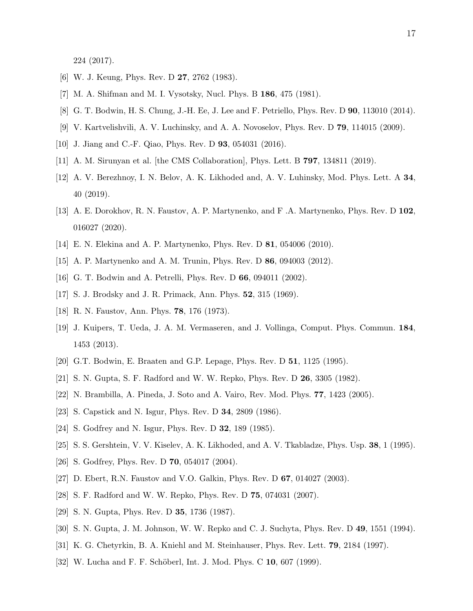224 (2017).

- <span id="page-16-1"></span><span id="page-16-0"></span>[6] W. J. Keung, Phys. Rev. D 27, 2762 (1983).
- <span id="page-16-2"></span>[7] M. A. Shifman and M. I. Vysotsky, Nucl. Phys. B 186, 475 (1981).
- <span id="page-16-3"></span>[8] G. T. Bodwin, H. S. Chung, J.-H. Ee, J. Lee and F. Petriello, Phys. Rev. D 90, 113010 (2014).
- <span id="page-16-4"></span>[9] V. Kartvelishvili, A. V. Luchinsky, and A. A. Novoselov, Phys. Rev. D 79, 114015 (2009).
- <span id="page-16-5"></span>[10] J. Jiang and C.-F. Qiao, Phys. Rev. D 93, 054031 (2016).
- <span id="page-16-6"></span>[11] A. M. Sirunyan et al. [the CMS Collaboration], Phys. Lett. B 797, 134811 (2019).
- [12] A. V. Berezhnoy, I. N. Belov, A. K. Likhoded and, A. V. Luhinsky, Mod. Phys. Lett. A 34, 40 (2019).
- <span id="page-16-7"></span>[13] A. E. Dorokhov, R. N. Faustov, A. P. Martynenko, and F .A. Martynenko, Phys. Rev. D 102, 016027 (2020).
- <span id="page-16-9"></span><span id="page-16-8"></span>[14] E. N. Elekina and A. P. Martynenko, Phys. Rev. D 81, 054006 (2010).
- <span id="page-16-10"></span>[15] A. P. Martynenko and A. M. Trunin, Phys. Rev. D 86, 094003 (2012).
- <span id="page-16-11"></span>[16] G. T. Bodwin and A. Petrelli, Phys. Rev. D 66, 094011 (2002).
- <span id="page-16-12"></span>[17] S. J. Brodsky and J. R. Primack, Ann. Phys. 52, 315 (1969).
- <span id="page-16-13"></span>[18] R. N. Faustov, Ann. Phys. 78, 176 (1973).
- [19] J. Kuipers, T. Ueda, J. A. M. Vermaseren, and J. Vollinga, Comput. Phys. Commun. 184, 1453 (2013).
- <span id="page-16-14"></span>[20] G.T. Bodwin, E. Braaten and G.P. Lepage, Phys. Rev. D 51, 1125 (1995).
- <span id="page-16-15"></span>[21] S. N. Gupta, S. F. Radford and W. W. Repko, Phys. Rev. D 26, 3305 (1982).
- [22] N. Brambilla, A. Pineda, J. Soto and A. Vairo, Rev. Mod. Phys. 77, 1423 (2005).
- [23] S. Capstick and N. Isgur, Phys. Rev. D 34, 2809 (1986).
- [24] S. Godfrey and N. Isgur, Phys. Rev. D 32, 189 (1985).
- [25] S. S. Gershtein, V. V. Kiselev, A. K. Likhoded, and A. V. Tkabladze, Phys. Usp. 38, 1 (1995).
- [26] S. Godfrey, Phys. Rev. D 70, 054017 (2004).
- <span id="page-16-16"></span>[27] D. Ebert, R.N. Faustov and V.O. Galkin, Phys. Rev. D 67, 014027 (2003).
- <span id="page-16-17"></span>[28] S. F. Radford and W. W. Repko, Phys. Rev. D 75, 074031 (2007).
- [29] S. N. Gupta, Phys. Rev. D 35, 1736 (1987).
- <span id="page-16-18"></span>[30] S. N. Gupta, J. M. Johnson, W. W. Repko and C. J. Suchyta, Phys. Rev. D 49, 1551 (1994).
- <span id="page-16-19"></span>[31] K. G. Chetyrkin, B. A. Kniehl and M. Steinhauser, Phys. Rev. Lett. 79, 2184 (1997).
- <span id="page-16-20"></span>[32] W. Lucha and F. F. Schöberl, Int. J. Mod. Phys. C 10, 607 (1999).